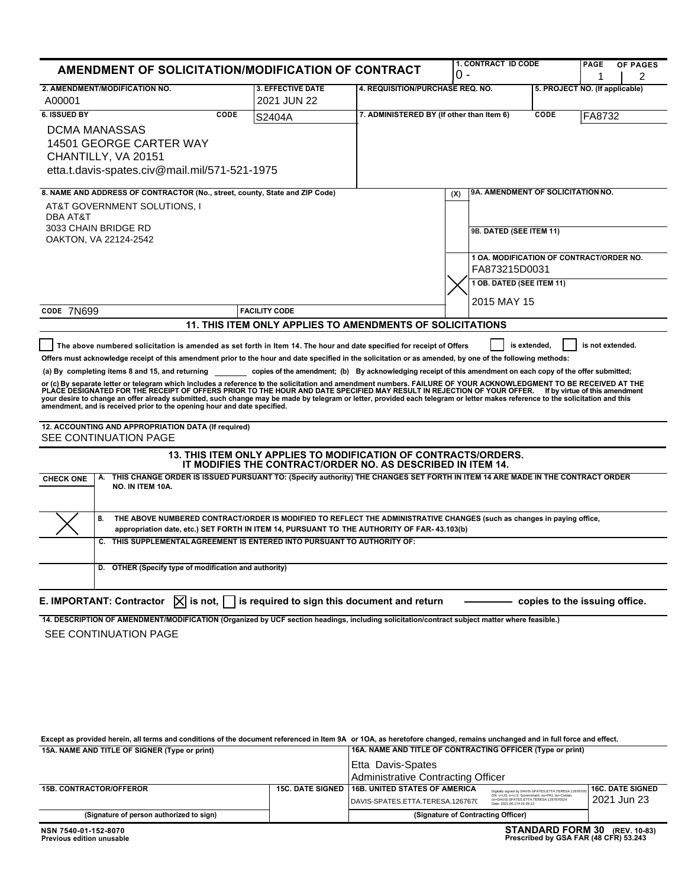| <b>AMENDMENT OF SOLICITATION/MODIFICATION OF CONTRACT</b>                                                                                                                                                                                                                                                                                                                                                                                                                                                                                                                                                                                                                                                                                                                                                                                                                                                                                                                                                                                                                                                                                                                                                                                                                                                                                                                                                                                                                                                                                                                                                                                                                                                                                                                                                                                                                                                        |                                                                                   |                                                            | <b>1. CONTRACT ID CODE</b><br>0 -        |                           | <b>PAGE</b>                    | <b>OF PAGES</b><br>2 |  |
|------------------------------------------------------------------------------------------------------------------------------------------------------------------------------------------------------------------------------------------------------------------------------------------------------------------------------------------------------------------------------------------------------------------------------------------------------------------------------------------------------------------------------------------------------------------------------------------------------------------------------------------------------------------------------------------------------------------------------------------------------------------------------------------------------------------------------------------------------------------------------------------------------------------------------------------------------------------------------------------------------------------------------------------------------------------------------------------------------------------------------------------------------------------------------------------------------------------------------------------------------------------------------------------------------------------------------------------------------------------------------------------------------------------------------------------------------------------------------------------------------------------------------------------------------------------------------------------------------------------------------------------------------------------------------------------------------------------------------------------------------------------------------------------------------------------------------------------------------------------------------------------------------------------|-----------------------------------------------------------------------------------|------------------------------------------------------------|------------------------------------------|---------------------------|--------------------------------|----------------------|--|
| 2. AMENDMENT/MODIFICATION NO.<br>A00001                                                                                                                                                                                                                                                                                                                                                                                                                                                                                                                                                                                                                                                                                                                                                                                                                                                                                                                                                                                                                                                                                                                                                                                                                                                                                                                                                                                                                                                                                                                                                                                                                                                                                                                                                                                                                                                                          | <b>3. EFFECTIVE DATE</b><br>2021 JUN 22                                           |                                                            | 4. REQUISITION/PURCHASE REQ. NO.         |                           | 5. PROJECT NO. (If applicable) |                      |  |
| <b>6. ISSUED BY</b><br>CODE                                                                                                                                                                                                                                                                                                                                                                                                                                                                                                                                                                                                                                                                                                                                                                                                                                                                                                                                                                                                                                                                                                                                                                                                                                                                                                                                                                                                                                                                                                                                                                                                                                                                                                                                                                                                                                                                                      | S2404A                                                                            | 7. ADMINISTERED BY (If other than Item 6)<br>CODE          |                                          |                           | FA8732                         |                      |  |
| DCMA MANASSAS<br>14501 GEORGE CARTER WAY<br>CHANTILLY, VA 20151<br>etta.t.davis-spates.civ@mail.mil/571-521-1975                                                                                                                                                                                                                                                                                                                                                                                                                                                                                                                                                                                                                                                                                                                                                                                                                                                                                                                                                                                                                                                                                                                                                                                                                                                                                                                                                                                                                                                                                                                                                                                                                                                                                                                                                                                                 |                                                                                   |                                                            |                                          |                           |                                |                      |  |
| 8. NAME AND ADDRESS OF CONTRACTOR (No., street, county, State and ZIP Code)                                                                                                                                                                                                                                                                                                                                                                                                                                                                                                                                                                                                                                                                                                                                                                                                                                                                                                                                                                                                                                                                                                                                                                                                                                                                                                                                                                                                                                                                                                                                                                                                                                                                                                                                                                                                                                      |                                                                                   |                                                            | 9A. AMENDMENT OF SOLICITATION NO.<br>(X) |                           |                                |                      |  |
| AT&T GOVERNMENT SOLUTIONS, I<br>DBA AT&T<br>3033 CHAIN BRIDGE RD<br>OAKTON, VA 22124-2542                                                                                                                                                                                                                                                                                                                                                                                                                                                                                                                                                                                                                                                                                                                                                                                                                                                                                                                                                                                                                                                                                                                                                                                                                                                                                                                                                                                                                                                                                                                                                                                                                                                                                                                                                                                                                        |                                                                                   |                                                            |                                          | 9B. DATED (SEE ITEM 11)   |                                |                      |  |
|                                                                                                                                                                                                                                                                                                                                                                                                                                                                                                                                                                                                                                                                                                                                                                                                                                                                                                                                                                                                                                                                                                                                                                                                                                                                                                                                                                                                                                                                                                                                                                                                                                                                                                                                                                                                                                                                                                                  |                                                                                   |                                                            | 1 OA. MODIFICATION OF CONTRACT/ORDER NO. |                           |                                |                      |  |
|                                                                                                                                                                                                                                                                                                                                                                                                                                                                                                                                                                                                                                                                                                                                                                                                                                                                                                                                                                                                                                                                                                                                                                                                                                                                                                                                                                                                                                                                                                                                                                                                                                                                                                                                                                                                                                                                                                                  |                                                                                   | FA873215D0031                                              |                                          |                           |                                |                      |  |
|                                                                                                                                                                                                                                                                                                                                                                                                                                                                                                                                                                                                                                                                                                                                                                                                                                                                                                                                                                                                                                                                                                                                                                                                                                                                                                                                                                                                                                                                                                                                                                                                                                                                                                                                                                                                                                                                                                                  |                                                                                   |                                                            |                                          | 1 OB. DATED (SEE ITEM 11) |                                |                      |  |
|                                                                                                                                                                                                                                                                                                                                                                                                                                                                                                                                                                                                                                                                                                                                                                                                                                                                                                                                                                                                                                                                                                                                                                                                                                                                                                                                                                                                                                                                                                                                                                                                                                                                                                                                                                                                                                                                                                                  |                                                                                   |                                                            | 2015 MAY 15                              |                           |                                |                      |  |
| CODE 7N699                                                                                                                                                                                                                                                                                                                                                                                                                                                                                                                                                                                                                                                                                                                                                                                                                                                                                                                                                                                                                                                                                                                                                                                                                                                                                                                                                                                                                                                                                                                                                                                                                                                                                                                                                                                                                                                                                                       | <b>FACILITY CODE</b><br>11. THIS ITEM ONLY APPLIES TO AMENDMENTS OF SOLICITATIONS |                                                            |                                          |                           |                                |                      |  |
|                                                                                                                                                                                                                                                                                                                                                                                                                                                                                                                                                                                                                                                                                                                                                                                                                                                                                                                                                                                                                                                                                                                                                                                                                                                                                                                                                                                                                                                                                                                                                                                                                                                                                                                                                                                                                                                                                                                  |                                                                                   |                                                            |                                          |                           |                                |                      |  |
| is extended,<br>is not extended.<br>The above numbered solicitation is amended as set forth in Item 14. The hour and date specified for receipt of Offers<br>Offers must acknowledge receipt of this amendment prior to the hour and date specified in the solicitation or as amended, by one of the following methods:<br>copies of the amendment; (b) By acknowledging receipt of this amendment on each copy of the offer submitted;<br>(a) By completing items 8 and 15, and returning<br>or (c) By separate letter or telegram which includes a reference to the solicitation and amendment numbers. FAILURE OF YOUR ACKNOWLEDGMENT TO BE RECEIVED AT THE<br>PLACE DESIGNATED FOR THE RECEIPT OF OFFERS PRIOR TO THE HOUR<br>your desire to change an offer already submitted, such change may be made by telegram or letter, provided each telegram or letter makes reference to the solicitation and this<br>amendment, and is received prior to the opening hour and date specified.<br>12. ACCOUNTING AND APPROPRIATION DATA (If required)<br>SEE CONTINUATION PAGE<br>13. THIS ITEM ONLY APPLIES TO MODIFICATION OF CONTRACTS/ORDERS.<br>IT MODIFIES THE CONTRACT/ORDER NO. AS DESCRIBED IN ITEM 14.<br>THIS CHANGE ORDER IS ISSUED PURSUANT TO: (Specify authority) THE CHANGES SET FORTH IN ITEM 14 ARE MADE IN THE CONTRACT ORDER<br>А.<br><b>CHECK ONE</b><br>NO. IN ITEM 10A.<br>В.<br>THE ABOVE NUMBERED CONTRACT/ORDER IS MODIFIED TO REFLECT THE ADMINISTRATIVE CHANGES (such as changes in paying office,<br>appropriation date, etc.) SET FORTH IN ITEM 14, PURSUANT TO THE AUTHORITY OF FAR- 43.103(b)<br>THIS SUPPLEMENTAL AGREEMENT IS ENTERED INTO PURSUANT TO AUTHORITY OF:<br>C.<br>D. OTHER (Specify type of modification and authority)<br>$[\overline{X}]$ is not, $\Box$ is required to sign this document and return<br>E. IMPORTANT: Contractor<br>copies to the issuing office. |                                                                                   |                                                            |                                          |                           |                                |                      |  |
| 14. DESCRIPTION OF AMENDMENT/MODIFICATION (Organized by UCF section headings, including solicitation/contract subject matter where feasible.)<br>SEE CONTINUATION PAGE<br>Except as provided herein, all terms and conditions of the document referenced in Item 9A or 1OA, as heretofore changed, remains unchanged and in full force and effect.<br>15A. NAME AND TITLE OF SIGNER (Type or print)                                                                                                                                                                                                                                                                                                                                                                                                                                                                                                                                                                                                                                                                                                                                                                                                                                                                                                                                                                                                                                                                                                                                                                                                                                                                                                                                                                                                                                                                                                              |                                                                                   | 16A. NAME AND TITLE OF CONTRACTING OFFICER (Type or print) |                                          |                           |                                |                      |  |
|                                                                                                                                                                                                                                                                                                                                                                                                                                                                                                                                                                                                                                                                                                                                                                                                                                                                                                                                                                                                                                                                                                                                                                                                                                                                                                                                                                                                                                                                                                                                                                                                                                                                                                                                                                                                                                                                                                                  |                                                                                   | <b>Etta Davis-Spates</b>                                   |                                          |                           |                                |                      |  |

|                                          | Etta Davis-Spates |                                                  |                                                                                                                           |                         |  |  |
|------------------------------------------|-------------------|--------------------------------------------------|---------------------------------------------------------------------------------------------------------------------------|-------------------------|--|--|
|                                          |                   | Administrative Contracting Officer               |                                                                                                                           |                         |  |  |
| <b>15B. CONTRACTOR/OFFEROR</b>           |                   | 15C. DATE SIGNED   16B. UNITED STATES OF AMERICA | Digitally signed by DAVIS-SPATES.ETTA.TERESA.12676705.                                                                    | <b>16C. DATE SIGNED</b> |  |  |
|                                          |                   | DAVIS-SPATES.ETTA.TERESA.1267670                 | DN: c=US, o=U.S. Government, ou=PKI, ou=Civilian,<br>cn=DAVIS-SPATES.ETTA.TERESA.1267670524<br>Date: 2021.06.174 01:28:12 | 2021 Jun 23             |  |  |
| (Signature of person authorized to sign) |                   | (Signature of Contracting Officer)               |                                                                                                                           |                         |  |  |